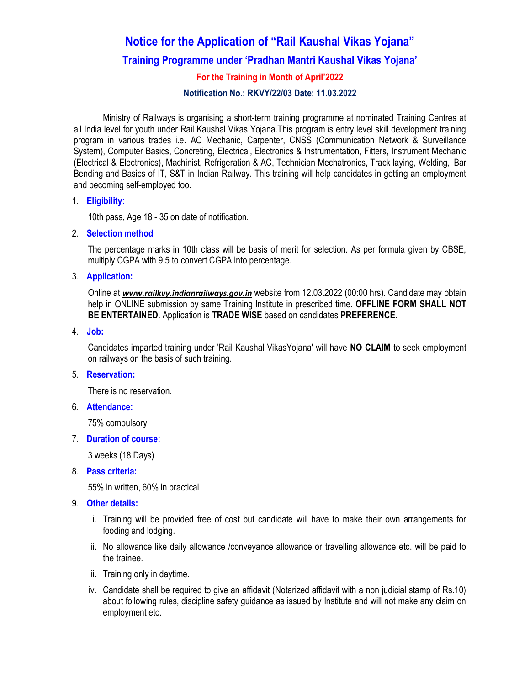# Notice for the Application of "Rail Kaushal Vikas Yojana"

# Training Programme under 'Pradhan Mantri Kaushal Vikas Yojana'

# For the Training in Month of April'2022

#### Notification No.: RKVY/22/03 Date: 11.03.2022

Ministry of Railways is organising a short-term training programme at nominated Training Centres at all India level for youth under Rail Kaushal Vikas Yojana.This program is entry level skill development training program in various trades i.e. AC Mechanic, Carpenter, CNSS (Communication Network & Surveillance System), Computer Basics, Concreting, Electrical, Electronics & Instrumentation, Fitters, Instrument Mechanic (Electrical & Electronics), Machinist, Refrigeration & AC, Technician Mechatronics, Track laying, Welding, Bar Bending and Basics of IT, S&T in Indian Railway. This training will help candidates in getting an employment and becoming self-employed too.

#### 1. Eligibility:

10th pass, Age 18 - 35 on date of notification.

2. Selection method

The percentage marks in 10th class will be basis of merit for selection. As per formula given by CBSE, multiply CGPA with 9.5 to convert CGPA into percentage.

3. Application:

Online at www.railkvy.indianrailways.gov.in website from 12.03.2022 (00:00 hrs). Candidate may obtain help in ONLINE submission by same Training Institute in prescribed time. OFFLINE FORM SHALL NOT BE ENTERTAINED. Application is TRADE WISE based on candidates PREFERENCE.

4. Job:

Candidates imparted training under 'Rail Kaushal VikasYojana' will have NO CLAIM to seek employment on railways on the basis of such training.

## 5. Reservation:

There is no reservation.

6. Attendance:

75% compulsory

7. Duration of course:

3 weeks (18 Days)

8. Pass criteria:

55% in written, 60% in practical

- 9. Other details:
	- i. Training will be provided free of cost but candidate will have to make their own arrangements for fooding and lodging.
	- ii. No allowance like daily allowance /conveyance allowance or travelling allowance etc. will be paid to the trainee.
	- iii. Training only in daytime.
	- iv. Candidate shall be required to give an affidavit (Notarized affidavit with a non judicial stamp of Rs.10) about following rules, discipline safety guidance as issued by Institute and will not make any claim on employment etc.